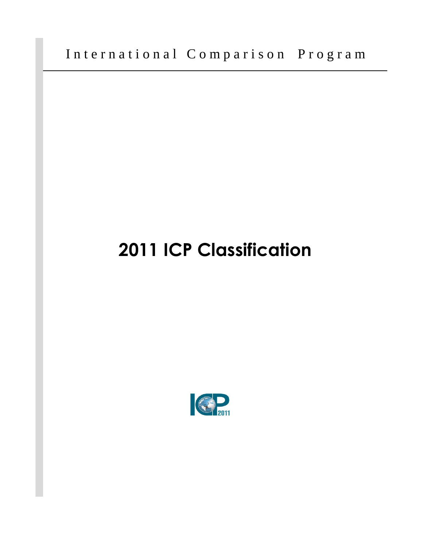International Comparison Program

## **2011 ICP Classification**

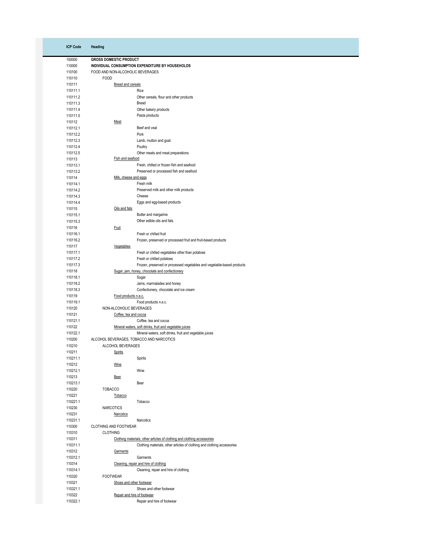| <b>ICP Code</b>      | Heading                                                       |                                                                         |
|----------------------|---------------------------------------------------------------|-------------------------------------------------------------------------|
|                      |                                                               |                                                                         |
| 100000               | <b>GROSS DOMESTIC PRODUCT</b>                                 |                                                                         |
| 110000               |                                                               | INDIVIDUAL CONSUMPTION EXPENDITURE BY HOUSEHOLDS                        |
| 110100               | FOOD AND NON-ALCOHOLIC BEVERAGES                              |                                                                         |
| 110110               | <b>FOOD</b>                                                   |                                                                         |
| 110111               | Bread and cereals                                             |                                                                         |
| 110111.1             |                                                               | Rice                                                                    |
| 110111.2             |                                                               | Other cereals, flour and other products                                 |
| 110111.3<br>110111.4 |                                                               | Bread                                                                   |
| 110111.5             |                                                               | Other bakery products<br>Pasta products                                 |
| 110112               | Meat                                                          |                                                                         |
| 110112.1             |                                                               | Beef and veal                                                           |
| 110112.2             |                                                               | Pork                                                                    |
| 110112.3             |                                                               | Lamb, mutton and goat                                                   |
| 110112.4             |                                                               | Poultry                                                                 |
| 110112.5             |                                                               | Other meats and meat preparations                                       |
| 110113               | Fish and seafood                                              |                                                                         |
| 110113.1             |                                                               | Fresh, chilled or frozen fish and seafood                               |
| 110113.2             |                                                               | Preserved or processed fish and seafood                                 |
| 110114               | Milk, cheese and eggs                                         |                                                                         |
| 110114.1             |                                                               | Fresh milk                                                              |
| 110114.2             |                                                               | Preserved milk and other milk products                                  |
| 110114.3             |                                                               | Cheese                                                                  |
| 110114.4             |                                                               | Eggs and egg-based products                                             |
| 110115               | Oils and fats                                                 |                                                                         |
| 110115.1             |                                                               | Butter and margarine                                                    |
| 110115.3<br>110116   |                                                               | Other edible oils and fats                                              |
| 110116.1             | <b>Fruit</b>                                                  | Fresh or chilled fruit                                                  |
| 110116.2             |                                                               | Frozen, preserved or processed fruit and fruit-based products           |
| 110117               | Vegetables                                                    |                                                                         |
| 110117.1             |                                                               | Fresh or chilled vegetables other than potatoes                         |
| 110117.2             |                                                               | Fresh or chilled potatoes                                               |
| 110117.3             |                                                               | Frozen, preserved or processed vegetables and vegetable-based products  |
| 110118               |                                                               | Sugar, jam, honey, chocolate and confectionery                          |
| 110118.1             |                                                               | Sugar                                                                   |
| 110118.2             |                                                               | Jams, marmalades and honey                                              |
| 110118.3             |                                                               | Confectionery, chocolate and ice cream                                  |
| 110119               | Food products n.e.c.                                          |                                                                         |
| 110119.1             |                                                               | Food products n.e.c.                                                    |
| 110120               | NON-ALCOHOLIC BEVERAGES                                       |                                                                         |
| 110121               | Coffee, tea and cocoa                                         |                                                                         |
| 110121.1             |                                                               | Coffee, tea and cocoa                                                   |
| 110122               |                                                               | Mineral waters, soft drinks, fruit and vegetable juices                 |
| 110122.1<br>110200   |                                                               | Mineral waters, soft drinks, fruit and vegetable juices                 |
| 110210               | ALCOHOL BEVERAGES, TOBACCO AND NARCOTICS<br>ALCOHOL BEVERAGES |                                                                         |
| 110211               | Spirits                                                       |                                                                         |
| 110211.1             |                                                               | Spirits                                                                 |
| 110212               | Wine                                                          |                                                                         |
| 110212.1             |                                                               | Wine                                                                    |
| 110213               | <b>Beer</b>                                                   |                                                                         |
| 110213.1             |                                                               | Beer                                                                    |
| 110220               | <b>TOBACCO</b>                                                |                                                                         |
| 110221               | Tobacco                                                       |                                                                         |
| 110221.1             |                                                               | Tobacco                                                                 |
| 110230               | <b>NARCOTICS</b>                                              |                                                                         |
| 110231               | Narcotics                                                     |                                                                         |
| 110231.1             |                                                               | Narcotics                                                               |
| 110300               | CLOTHING AND FOOTWEAR                                         |                                                                         |
| 110310               | <b>CLOTHING</b>                                               |                                                                         |
| 110311               |                                                               | Clothing materials, other articles of clothing and clothing accessories |
| 110311.1             |                                                               | Clothing materials, other articles of clothing and clothing accessories |
| 110312<br>110312.1   | Garments                                                      |                                                                         |
| 110314               |                                                               | Garments<br>Cleaning, repair and hire of clothing                       |
| 110314.1             |                                                               | Cleaning, repair and hire of clothing                                   |
| 110320               | <b>FOOTWEAR</b>                                               |                                                                         |
| 110321               | Shoes and other footwear                                      |                                                                         |
| 110321.1             |                                                               | Shoes and other footwear                                                |
| 110322               | Repair and hire of footwear                                   |                                                                         |
| 110322.1             |                                                               | Repair and hire of footwear                                             |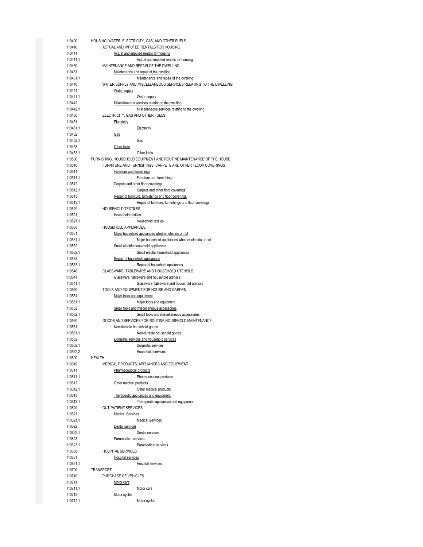| 110400   | HOUSING, WATER, ELECTRICITY, GAS, AND OTHER FUELS                    |
|----------|----------------------------------------------------------------------|
| 110410   | ACTUAL AND IMPUTED RENTALS FOR HOUSING                               |
| 110411   |                                                                      |
|          | Actual and imputed rentals for housing                               |
| 110411.1 | Actual and imputed rentals for housing                               |
| 110430   | MAINTENANCE AND REPAIR OF THE DWELLING                               |
| 110431   | Maintenance and repair of the dwelling                               |
| 110431.1 | Maintenance and repair of the dwelling                               |
| 110440   | WATER SUPPLY AND MISCELLANEOUS SERVICES RELATING TO THE DWELLING     |
| 110441   | Water supply                                                         |
|          |                                                                      |
| 110441.1 | Water supply                                                         |
| 110442   | Miscellaneous services relating to the dwelling                      |
| 110442.1 | Miscellaneous services relating to the dwelling                      |
| 110450   | ELECTRICITY, GAS AND OTHER FUELS                                     |
| 110451   | Electricity                                                          |
| 110451.1 | Electricity                                                          |
| 110452   | <u>Gas</u>                                                           |
|          |                                                                      |
| 110452.1 | Gas                                                                  |
| 110453   | Other fuels                                                          |
| 110453.1 | Other fuels                                                          |
| 110500   | FURNISHING, HOUSEHOLD EQUIPMENT AND ROUTINE MAINTENANCE OF THE HOUSE |
| 110510   | FURNITURE AND FURNISHINGS, CARPETS AND OTHER FLOOR COVERINGS         |
| 110511   | Furniture and furnishings                                            |
| 110511.1 | Furniture and furnishings                                            |
|          |                                                                      |
| 110512   | Carpets and other floor coverings                                    |
| 110512.1 | Carpets and other floor coverings                                    |
| 110513   | Repair of furniture, furnishings and floor coverings                 |
| 110513.1 | Repair of furniture, furnishings and floor coverings                 |
| 110520   | HOUSEHOLD TEXTILES                                                   |
| 110521   | Household textiles                                                   |
| 110521.1 | Household textiles                                                   |
| 110530   | HOUSEHOLD APPLIANCES                                                 |
|          |                                                                      |
| 110531   | Major household appliances whether electric or not                   |
| 110531.1 | Major household appliances whether electric or not                   |
| 110532   | Small electric household appliances                                  |
| 110532.1 | Small electric household appliances                                  |
| 110533   | Repair of household appliances                                       |
| 110533.1 | Repair of household appliances                                       |
| 110540   | GLASSWARE, TABLEWARE AND HOUSEHOLD UTENSILS                          |
|          |                                                                      |
| 110541   | Glassware, tableware and household utensils                          |
| 110541.1 | Glassware, tableware and household utensils                          |
| 110550   | TOOLS AND EQUIPMENT FOR HOUSE AND GARDEN                             |
| 110551   | Major tools and equipment                                            |
| 110551.1 | Major tools and equipment                                            |
| 110552   | Small tools and miscellaneous accessories                            |
| 110552.1 | Small tools and miscellaneous accessories                            |
| 110560   | GOODS AND SERVICES FOR ROUTINE HOUSEHOLD MAINTENANCE                 |
| 110561   |                                                                      |
|          | Non-durable household goods                                          |
| 110561.1 | Non-durable household goods                                          |
| 110562   | Domestic services and household services                             |
| 110562.1 | Domestic services                                                    |
| 110562.2 | Household services                                                   |
| 110600   | <b>HEALTH</b>                                                        |
| 110610   | MEDICAL PRODUCTS, APPLIANCES AND EQUIPMENT                           |
| 110611   | Pharmaceutical products                                              |
|          |                                                                      |
| 110611.1 | Pharmaceutical products                                              |
| 110612   | Other medical products                                               |
| 110612.1 | Other medical products                                               |
| 110613   | Therapeutic appliances and equipment                                 |
| 110613.1 | Therapeutic appliances and equipment                                 |
| 110620   | <b>OUT-PATIENT SERVICES</b>                                          |
| 110621   | <b>Medical Services</b>                                              |
| 110621.1 | <b>Medical Services</b>                                              |
|          |                                                                      |
| 110622   | Dental services                                                      |
| 110622.1 | Dental services                                                      |
| 110623   | Paramedical services                                                 |
| 110623.1 | Paramedical services                                                 |
| 110630   | <b>HOSPITAL SERVICES</b>                                             |
| 110631   | <b>Hospital services</b>                                             |
| 110631.1 | Hospital services                                                    |
| 110700   | <b>TRANSPORT</b>                                                     |
|          |                                                                      |
| 110710   | PURCHASE OF VEHICLES                                                 |
| 110711   | Motor cars                                                           |
| 110711.1 | Motor cars                                                           |
| 110712   | Motor cycles                                                         |
| 110712.1 | Motor cycles                                                         |
|          |                                                                      |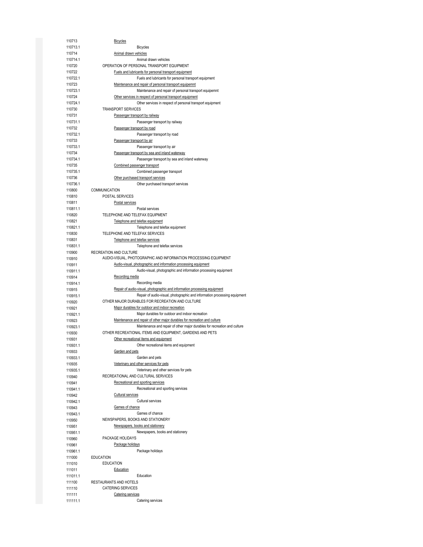| 110713   | <b>Bicycles</b>                                                           |
|----------|---------------------------------------------------------------------------|
| 110713.1 | <b>Bicycles</b>                                                           |
| 110714   | Animal drawn vehicles                                                     |
| 110714.1 | Animal drawn vehicles                                                     |
| 110720   | OPERATION OF PERSONAL TRANSPORT EQUIPMENT                                 |
| 110722   |                                                                           |
|          | <b>Fuels and lubricants for personal transport equipment</b>              |
| 110722.1 | Fuels and lubricants for personal transport equipment                     |
| 110723   | Maintenance and repair of personal transport equipemnt                    |
| 110723.1 | Maintenance and repair of personal transport equipemnt                    |
| 110724   | Other services in respect of personal transport equipment                 |
| 110724.1 | Other services in respect of personal transport equipment                 |
| 110730   | <b>TRANSPORT SERVICES</b>                                                 |
| 110731   | Passenger transport by railway                                            |
|          |                                                                           |
| 110731.1 | Passenger transport by railway                                            |
| 110732   | Passenger transport by road                                               |
| 110732.1 | Passenger transport by road                                               |
| 110733   | Passenger transport by air                                                |
| 110733.1 | Passenger transport by air                                                |
| 110734   | Passenger transport by sea and inland waterway                            |
| 110734.1 | Passenger transport by sea and inland waterway                            |
|          |                                                                           |
| 110735   | Combined passenger transport                                              |
| 110735.1 | Combined passenger transport                                              |
| 110736   | Other purchased transport services                                        |
| 110736.1 | Other purchased transport services                                        |
| 110800   | COMMUNICATION                                                             |
| 110810   | POSTAL SERVICES                                                           |
| 110811   | Postal services                                                           |
|          |                                                                           |
| 110811.1 | Postal services                                                           |
| 110820   | TELEPHONE AND TELEFAX EQUIPMENT                                           |
| 110821   | Telephone and telefax equipment                                           |
| 110821.1 | Telephone and telefax equipment                                           |
| 110830   | TELEPHONE AND TELEFAX SERVICES                                            |
| 110831   | Telephone and telefax services                                            |
| 110831.1 | Telephone and telefax services                                            |
|          |                                                                           |
| 110900   | RECREATION AND CULTURE                                                    |
| 110910   | AUDIO-VISUAL, PHOTOGRAPHIC AND INFORMATION PROCESSING EQUIPMENT           |
| 110911   | Audio-visual, photographic and information processing equipment           |
| 110911.1 | Audio-visual, photographic and information processing equipment           |
| 110914   | Recording media                                                           |
| 110914.1 | Recording media                                                           |
| 110915   | Repair of audio-visual, photographic and information processing equipment |
|          |                                                                           |
| 110915.1 | Repair of audio-visual, photographic and information processing equipment |
| 110920   | OTHER MAJOR DURABLES FOR RECREATION AND CULTURE                           |
| 110921   | Major durables for outdoor and indoor recreation                          |
| 110921.1 | Major durables for outdoor and indoor recreation                          |
| 110923   | Maintenance and repair of other major durables for recreation and culture |
| 110923.1 | Maintenance and repair of other major durables for recreation and culture |
| 110930   | OTHER RECREATIONAL ITEMS AND EQUIPMENT, GARDENS AND PETS                  |
|          | Other recreational items and equipment                                    |
| 110931   |                                                                           |
| 110931.1 | Other recreational items and equipment                                    |
| 110933   | Garden and pets                                                           |
| 110933.1 | Garden and pets                                                           |
| 110935   | Veterinary and other services for pets                                    |
| 110935.1 | Veterinary and other services for pets                                    |
| 110940   | RECREATIONAL AND CULTURAL SERVICES                                        |
|          | Recreational and sporting services                                        |
| 110941   |                                                                           |
| 110941.1 | Recreational and sporting services                                        |
| 110942   | <b>Cultural services</b>                                                  |
| 110942.1 | Cultural services                                                         |
| 110943   | Games of chance                                                           |
| 110943.1 | Games of chance                                                           |
| 110950   | NEWSPAPERS, BOOKS AND STATIONERY                                          |
|          |                                                                           |
| 110951   | Newspapers, books and stationery                                          |
| 110951.1 | Newspapers, books and stationery                                          |
| 110960   | PACKAGE HOLIDAYS                                                          |
| 110961   | Package holidays                                                          |
| 110961.1 | Package holidays                                                          |
| 111000   | <b>EDUCATION</b>                                                          |
|          | <b>EDUCATION</b>                                                          |
| 111010   |                                                                           |
| 111011   | Education                                                                 |
| 111011.1 | Education                                                                 |
| 111100   | RESTAURANTS AND HOTELS                                                    |
| 111110   | <b>CATERING SERVICES</b>                                                  |
| 111111   | Catering services                                                         |
| 111111.1 | Catering services                                                         |
|          |                                                                           |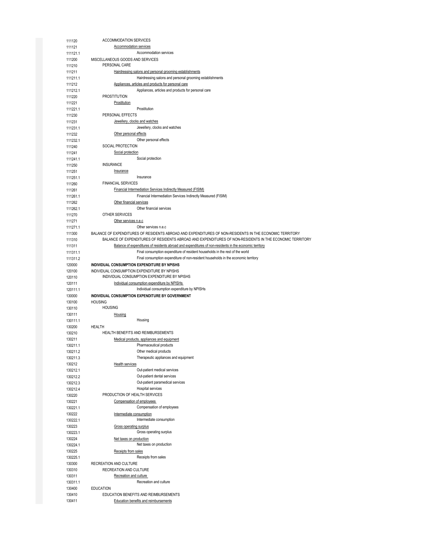| 111120               | <b>ACCOMMODATION SERVICES</b>                                                                                                                                                                                      |
|----------------------|--------------------------------------------------------------------------------------------------------------------------------------------------------------------------------------------------------------------|
| 111121               | <b>Accommodation services</b>                                                                                                                                                                                      |
| 111121.1             | Accommodation services                                                                                                                                                                                             |
| 111200               | MISCELLANEOUS GOODS AND SERVICES                                                                                                                                                                                   |
| 111210               | PERSONAL CARE                                                                                                                                                                                                      |
| 111211               | Hairdressing salons and personal grooming establishments                                                                                                                                                           |
| 111211.1             | Hairdressing salons and personal grooming establishments                                                                                                                                                           |
| 111212               | Appliances, articles and products for personal care<br>Appliances, articles and products for personal care                                                                                                         |
| 111212.1<br>111220   | <b>PROSTITUTION</b>                                                                                                                                                                                                |
| 111221               | Prostitution                                                                                                                                                                                                       |
| 111221.1             | Prostitution                                                                                                                                                                                                       |
| 111230               | PERSONAL EFFECTS                                                                                                                                                                                                   |
| 111231               | Jewellery, clocks and watches                                                                                                                                                                                      |
| 111231.1             | Jewellery, clocks and watches                                                                                                                                                                                      |
| 111232               | Other personal effects                                                                                                                                                                                             |
| 111232.1             | Other personal effects                                                                                                                                                                                             |
| 111240               | SOCIAL PROTECTION                                                                                                                                                                                                  |
| 111241               | Social protection                                                                                                                                                                                                  |
| 111241.1             | Social protection                                                                                                                                                                                                  |
| 111250<br>111251     | <b>INSURANCE</b><br>Insurance                                                                                                                                                                                      |
| 111251.1             | Insurance                                                                                                                                                                                                          |
| 111260               | <b>FINANCIAL SERVICES</b>                                                                                                                                                                                          |
| 111261               | <b>Financial Intermediation Services Indirectly Measured (FISIM)</b>                                                                                                                                               |
| 111261.1             | Financial Intermediation Services Indirectly Measured (FISIM)                                                                                                                                                      |
| 111262               | Other financial services                                                                                                                                                                                           |
| 111262.1             | Other financial services                                                                                                                                                                                           |
| 111270               | OTHER SERVICES                                                                                                                                                                                                     |
| 111271               | Other services n.e.c                                                                                                                                                                                               |
| 111271.1             | Other services n.e.c                                                                                                                                                                                               |
| 111300               | BALANCE OF EXPENDITURES OF RESIDENTS ABROAD AND EXPENDITURES OF NON-RESIDENTS IN THE ECONOMIC TERRITORY<br>BALANCE OF EXPENDITURES OF RESIDENTS ABROAD AND EXPENDITURES OF NON-RESIDENTS IN THE ECONOMIC TERRITORY |
| 111310<br>111311     | Balance of expenditures of residents abroad and expenditures of non-residents in the economic territory                                                                                                            |
| 111311.1             | Final consumption expenditure of resident households in the rest of the world                                                                                                                                      |
| 111311.2             | Final consumption expenditure of non-resident households in the economic territory                                                                                                                                 |
| 120000               | INDIVIDUAL CONSUMPTION EXPENDITURE BY NPISHS                                                                                                                                                                       |
| 120100               | INDIVIDUAL CONSUMPTION EXPENDITURE BY NPISHS                                                                                                                                                                       |
| 120110               | INDIVIDUAL CONSUMPTION EXPENDITURE BY NPISHS                                                                                                                                                                       |
| 120111               | Individual consumption expenditure by NPISHs                                                                                                                                                                       |
| 120111.1             | Individual consumption expenditure by NPISHs                                                                                                                                                                       |
| 130000<br>130100     | INDIVIDUAL CONSUMPTION EXPENDITURE BY GOVERNMENT<br><b>HOUSING</b>                                                                                                                                                 |
| 130110               | <b>HOUSING</b>                                                                                                                                                                                                     |
| 130111               | Housing                                                                                                                                                                                                            |
| 130111.1             | Housing                                                                                                                                                                                                            |
| 130200               | HEALTH                                                                                                                                                                                                             |
| 130210               | HEALTH BENEFITS AND REIMBURSEMENTS                                                                                                                                                                                 |
| 130211               | Medical products, appliances and equipment                                                                                                                                                                         |
| 130211.1<br>130211.2 | Pharmaceutical products<br>Other medical products                                                                                                                                                                  |
| 130211.3             | Therapeutic appliances and equipment                                                                                                                                                                               |
| 130212               | <b>Health services</b>                                                                                                                                                                                             |
| 130212.1             | Out-patient medical services                                                                                                                                                                                       |
| 130212.2             | Out-patient dental services                                                                                                                                                                                        |
| 130212.3             | Out-patient paramedical services                                                                                                                                                                                   |
| 130212.4             |                                                                                                                                                                                                                    |
| 130220               | Hospital services                                                                                                                                                                                                  |
| 130221               | PRODUCTION OF HEALTH SERVICES                                                                                                                                                                                      |
|                      | Compensation of employees                                                                                                                                                                                          |
| 130221.1             | Compensation of employees                                                                                                                                                                                          |
| 130222               | Intermediate consumption                                                                                                                                                                                           |
| 130222.1             | Intermediate consumption                                                                                                                                                                                           |
| 130223<br>130223.1   | <b>Gross operating surplus</b><br>Gross operating surplus                                                                                                                                                          |
| 130224               | Net taxes on production                                                                                                                                                                                            |
| 130224.1             | Net taxes on production                                                                                                                                                                                            |
| 130225               | Receipts from sales                                                                                                                                                                                                |
| 130225.1             | Receipts from sales                                                                                                                                                                                                |
| 130300               | RECREATION AND CULTURE                                                                                                                                                                                             |
| 130310               | RECREATION AND CULTURE                                                                                                                                                                                             |
| 130311               | Recreation and culture                                                                                                                                                                                             |
| 130311.1<br>130400   | Recreation and culture                                                                                                                                                                                             |
| 130410               | <b>EDUCATION</b><br>EDUCATION BENEFITS AND REIMBURSEMENTS                                                                                                                                                          |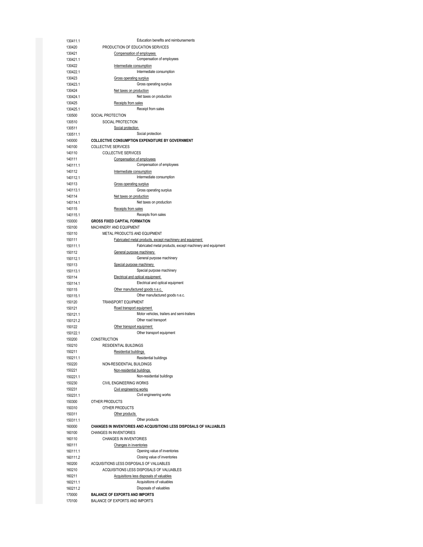| 130411.1 | Education benefits and reimbursements                               |
|----------|---------------------------------------------------------------------|
| 130420   | PRODUCTION OF EDUCATION SERVICES                                    |
| 130421   | Compensation of employees                                           |
| 130421.1 | Compensation of employees                                           |
|          |                                                                     |
| 130422   | Intermediate consumption                                            |
| 130422.1 | Intermediate consumption                                            |
| 130423   | Gross operating surplus                                             |
| 130423.1 | Gross operating surplus                                             |
| 130424   | Net taxes on production                                             |
| 130424.1 | Net taxes on production                                             |
| 130425   | Receipts from sales                                                 |
|          | Receipt from sales                                                  |
| 130425.1 |                                                                     |
| 130500   | SOCIAL PROTECTION                                                   |
| 130510   | SOCIAL PROTECTION                                                   |
| 130511   | Social protection                                                   |
| 130511.1 | Social protection                                                   |
| 140000   | COLLECTIVE CONSUMPTION EXPENDITURE BY GOVERNMENT                    |
| 140100   | <b>COLLECTIVE SERVICES</b>                                          |
| 140110   | <b>COLLECTIVE SERVICES</b>                                          |
|          |                                                                     |
| 140111   | Compensation of employees                                           |
| 140111.1 | Compensation of employees                                           |
| 140112   | Intermediate consumption                                            |
| 140112.1 | Intermediate consumption                                            |
| 140113   | Gross operating surplus                                             |
| 140113.1 | Gross operating surplus                                             |
| 140114   | Net taxes on production                                             |
|          | Net taxes on production                                             |
| 140114.1 |                                                                     |
| 140115   | Receipts from sales                                                 |
| 140115.1 | Receipts from sales                                                 |
| 150000   | <b>GROSS FIXED CAPITAL FORMATION</b>                                |
| 150100   | MACHINERY AND EQUIPMENT                                             |
| 150110   | METAL PRODUCTS AND EQUIPMENT                                        |
| 150111   | Fabricated metal products, except machinery and equipment           |
|          | Fabricated metal products, except machinery and equipment           |
| 150111.1 |                                                                     |
| 150112   | General purpose machinery                                           |
| 150112.1 | General purpose machinery                                           |
| 150113   | Special purpose machinery                                           |
| 150113.1 | Special purpose machinery                                           |
| 150114   | Electrical and optical equipment                                    |
| 150114.1 | Electrical and optical equipment                                    |
| 150115   |                                                                     |
|          | Other manufactured goods n.e.c.                                     |
| 150115.1 | Other manufactured goods n.e.c.                                     |
| 150120   | <b>TRANSPORT EQUIPMENT</b>                                          |
| 150121   | Road transport equipment                                            |
| 150121.1 | Motor vehicles, trailers and semi-trailers                          |
| 150121.2 | Other road transport                                                |
| 150122   | Other transport equipment                                           |
| 150122.1 | Other transport equipment                                           |
|          |                                                                     |
| 150200   | <b>CONSTRUCTION</b>                                                 |
| 150210   | <b>RESIDENTIAL BUILDINGS</b>                                        |
| 150211   | Residential buildings                                               |
| 150211.1 | Residential buildings                                               |
| 150220   | NON-RESIDENTIAL BUILDINGS                                           |
| 150221   | Non-residential buildings                                           |
| 150221.1 | Non-residential buildings                                           |
| 150230   | <b>CIVIL ENGINEERING WORKS</b>                                      |
|          |                                                                     |
| 150231   | Civil engineering works                                             |
| 150231.1 | Civil engineering works                                             |
| 150300   | OTHER PRODUCTS                                                      |
| 150310   | OTHER PRODUCTS                                                      |
| 150311   | Other products                                                      |
| 150311.1 | Other products                                                      |
| 160000   | CHANGES IN INVENTORIES AND ACQUISITIONS LESS DISPOSALS OF VALUABLES |
|          |                                                                     |
| 160100   | <b>CHANGES IN INVENTORIES</b>                                       |
| 160110   | <b>CHANGES IN INVENTORIES</b>                                       |
| 160111   | Changes in inventories                                              |
| 160111.1 | Opening value of inventories                                        |
| 160111.2 | Closing value of inventories                                        |
| 160200   | ACQUISITIONS LESS DISPOSALS OF VALUABLES                            |
| 160210   | ACQUISITIONS LESS DISPOSALS OF VALUABLES                            |
|          |                                                                     |
| 160211   | Acquisitions less disposals of valuables                            |
| 160211.1 | Acquisitions of valuables                                           |
| 160211.2 | Disposals of valuables                                              |
| 170000   | <b>BALANCE OF EXPORTS AND IMPORTS</b>                               |
| 170100   | <b>BALANCE OF EXPORTS AND IMPORTS</b>                               |